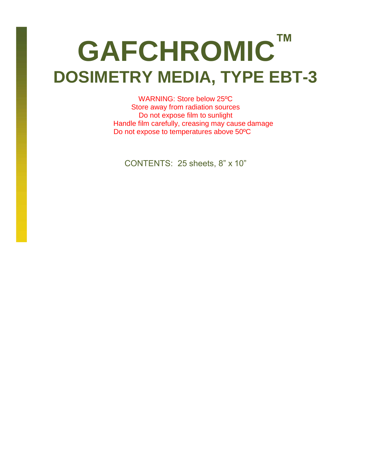# **GAFCHROMIC™ DOSIMETRY MEDIA, TYPE EBT-3**

WARNING: Store below 25ºC Store away from radiation sources Do not expose film to sunlight Handle film carefully, creasing may cause damage Do not expose to temperatures above 50ºC

CONTENTS: 25 sheets, 8" x 10"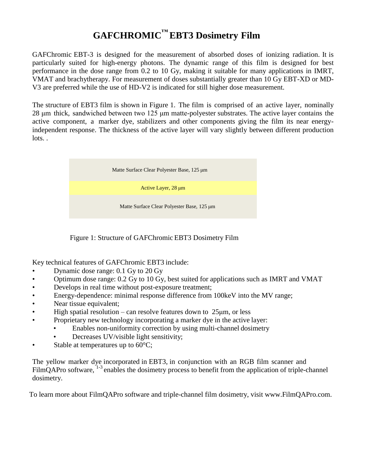# **GAFCHROMIC™ EBT3 Dosimetry Film**

GAFChromic EBT-3 is designed for the measurement of absorbed doses of ionizing radiation. It is particularly suited for high-energy photons. The dynamic range of this film is designed for best performance in the dose range from 0.2 to 10 Gy, making it suitable for many applications in IMRT, VMAT and brachytherapy. For measurement of doses substantially greater than 10 Gy EBT-XD or MD-V3 are preferred while the use of HD-V2 is indicated for still higher dose measurement.

The structure of EBT3 film is shown in Figure 1. The film is comprised of an active layer, nominally 28 μm thick, sandwiched between two 125 μm matte-polyester substrates. The active layer contains the active component, a marker dye, stabilizers and other components giving the film its near energyindependent response. The thickness of the active layer will vary slightly between different production lots. .



Figure 1: Structure of GAFChromic EBT3 Dosimetry Film

Key technical features of GAFChromic EBT3 include:

- Dynamic dose range: 0.1 Gy to 20 Gy
- Optimum dose range: 0.2 Gy to 10 Gy, best suited for applications such as IMRT and VMAT
- Develops in real time without post-exposure treatment;
- Energy-dependence: minimal response difference from 100keV into the MV range;
- Near tissue equivalent;
- High spatial resolution can resolve features down to  $25\mu$ m, or less
- Proprietary new technology incorporating a marker dye in the active layer:
	- Enables non-uniformity correction by using multi-channel dosimetry
	- Decreases UV/visible light sensitivity;
- Stable at temperatures up to  $60^{\circ}$ C;

The yellow marker dye incorporated in EBT3, in conjunction with an RGB film scanner and FilmQAPro software,  $1-3$  $1-3$  enables the dosimetry process to benefit from the application of triple-channel dosimetry.

To learn more about FilmQAPro software and triple-channel film dosimetry, visit [www.FilmQAPro.com.](http://www.filmqapro.com/)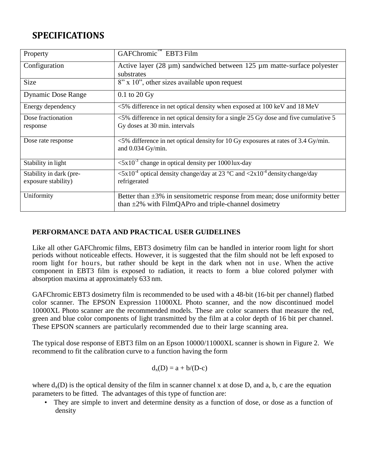## **SPECIFICATIONS**

| Property                                       | GAFChromic <sup>™</sup> EBT3 Film                                                                                                                    |
|------------------------------------------------|------------------------------------------------------------------------------------------------------------------------------------------------------|
| Configuration                                  | Active layer $(28 \mu m)$ sandwiched between 125 $\mu$ m matte-surface polyester<br>substrates                                                       |
| <b>Size</b>                                    | 8" x 10", other sizes available upon request                                                                                                         |
| <b>Dynamic Dose Range</b>                      | $0.1$ to $20$ Gy                                                                                                                                     |
| Energy dependency                              | <5% difference in net optical density when exposed at 100 keV and 18 MeV                                                                             |
| Dose fractionation<br>response                 | $<$ 5% difference in net optical density for a single 25 Gy dose and five cumulative 5<br>Gy doses at 30 min. intervals                              |
| Dose rate response                             | $\leq$ 5% difference in net optical density for 10 Gy exposures at rates of 3.4 Gy/min.<br>and 0.034 Gy/min.                                         |
| Stability in light                             | $\langle 5x10^{-3}$ change in optical density per 1000 lux-day                                                                                       |
| Stability in dark (pre-<br>exposure stability) | $\langle 5x10^4 \text{ optical density change/day at } 23 \text{ °C} \text{ and } \langle 2x10^4 \text{ density change/day} \rangle$<br>refrigerated |
| Uniformity                                     | Better than $\pm 3\%$ in sensitemetric response from mean; dose uniformity better<br>than $\pm 2\%$ with FilmQAPro and triple-channel dosimetry      |

#### **PERFORMANCE DATA AND PRACTICAL USER GUIDELINES**

Like all other GAFChromic films, EBT3 dosimetry film can be handled in interior room light for short periods without noticeable effects. However, it is suggested that the film should not be left exposed to room light for hours, but rather should be kept in the dark when not in use. When the active component in EBT3 film is exposed to radiation, it reacts to form a blue colored polymer with absorption maxima at approximately 633 nm.

GAFChromic EBT3 dosimetry film is recommended to be used with a 48-bit (16-bit per channel) flatbed color scanner. The EPSON Expression 11000XL Photo scanner, and the now discontinued model 10000XL Photo scanner are the recommended models. These are color scanners that measure the red, green and blue color components of light transmitted by the film at a color depth of 16 bit per channel. These EPSON scanners are particularly recommended due to their large scanning area.

The typical dose response of EBT3 film on an Epson 10000/11000XL scanner is shown in Figure 2. We recommend to fit the calibration curve to a function having the form

$$
d_x(D)=a+b/(D\hbox{-} c)
$$

where  $d_x(D)$  is the optical density of the film in scanner channel x at dose D, and a, b, c are the equation parameters to be fitted. The advantages of this type of function are:

• They are simple to invert and determine density as a function of dose, or dose as a function of density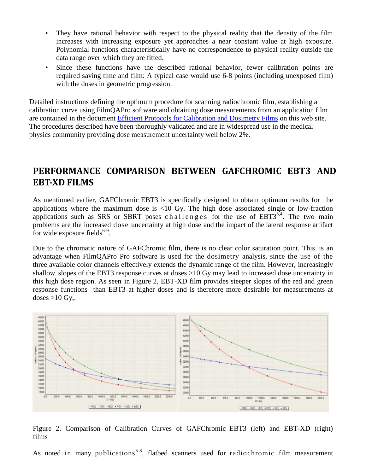- They have rational behavior with respect to the physical reality that the density of the film increases with increasing exposure yet approaches a near constant value at high exposure. Polynomial functions characteristically have no correspondence to physical reality outside the data range over which they are fitted.
- Since these functions have the described rational behavior, fewer calibration points are required saving time and film: A typical case would use 6-8 points (including unexposed film) with the doses in geometric progression.

Detailed instructions defining the optimum procedure for scanning radiochromic film, establishing a calibration curve using FilmQAPro software and obtaining dose measurements from an application film are contained in the document [Efficient Protocols for Calibration and Dosimetry Films](efficient%20protocols%20for%20calibration%20and%20dosimetry%20films) on this web site. The procedures described have been thoroughly validated and are in widespread use in the medical physics community providing dose measurement uncertainty well below 2%.

### **PERFORMANCE COMPARISON BETWEEN GAFCHROMIC EBT3 AND EBT-XD FILMS**

As mentioned earlier, GAFChromic EBT3 is specifically designed to obtain optimum results for the applications where the maximum dose is <10 Gy. The high dose associated single or low-fraction applications such as SRS or SBRT poses challenges for the use of  $EBT3^{3,4}$  $EBT3^{3,4}$  $EBT3^{3,4}$ . The two main problems are the increased dose uncertainty at high dose and the impact of the lateral response artifact for wide exposure fields $6-9$ .

Due to the chromatic nature of GAFChromic film, there is no clear color saturation point. This is an advantage when FilmQAPro Pro software is used for the dosimetry analysis, since the use of the three available color channels effectively extends the dynamic range of the film. However, increasingly shallow slopes of the EBT3 response curves at doses >10 Gy may lead to increased dose uncertainty in this high dose region. As seen in Figure 2, EBT-XD film provides steeper slopes of the red and green response functions than EBT3 at higher doses and is therefore more desirable for measurements at doses  $>10$  Gy,.



Figure 2. Comparison of Calibration Curves of GAFChromic EBT3 (left) and EBT-XD (right) films

As noted in many publications<sup>5-8</sup>, flatbed scanners used for radiochromic film measurement